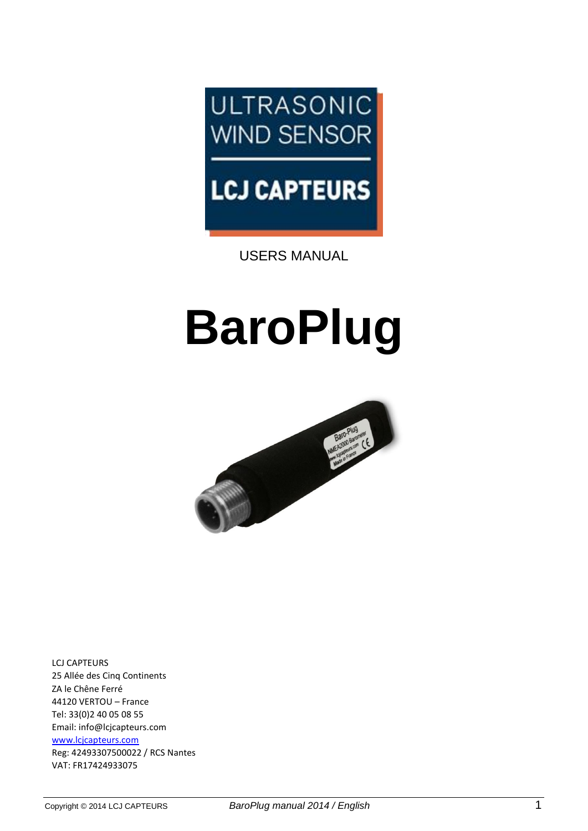

# **LCJ CAPTEURS**

USERS MANUAL

# **BaroPlug**



LCJ CAPTEURS 25 Allée des Cinq Continents ZA le Chêne Ferré 44120 VERTOU – France Tel: 33(0)2 40 05 08 55 Email: [info@lcjcapteurs.com](mailto:info@lcjcapteurs.com) [www.lcjcapteurs.com](http://www.lcjcapteurs.com/) Reg: 42493307500022 / RCS Nantes VAT: FR17424933075